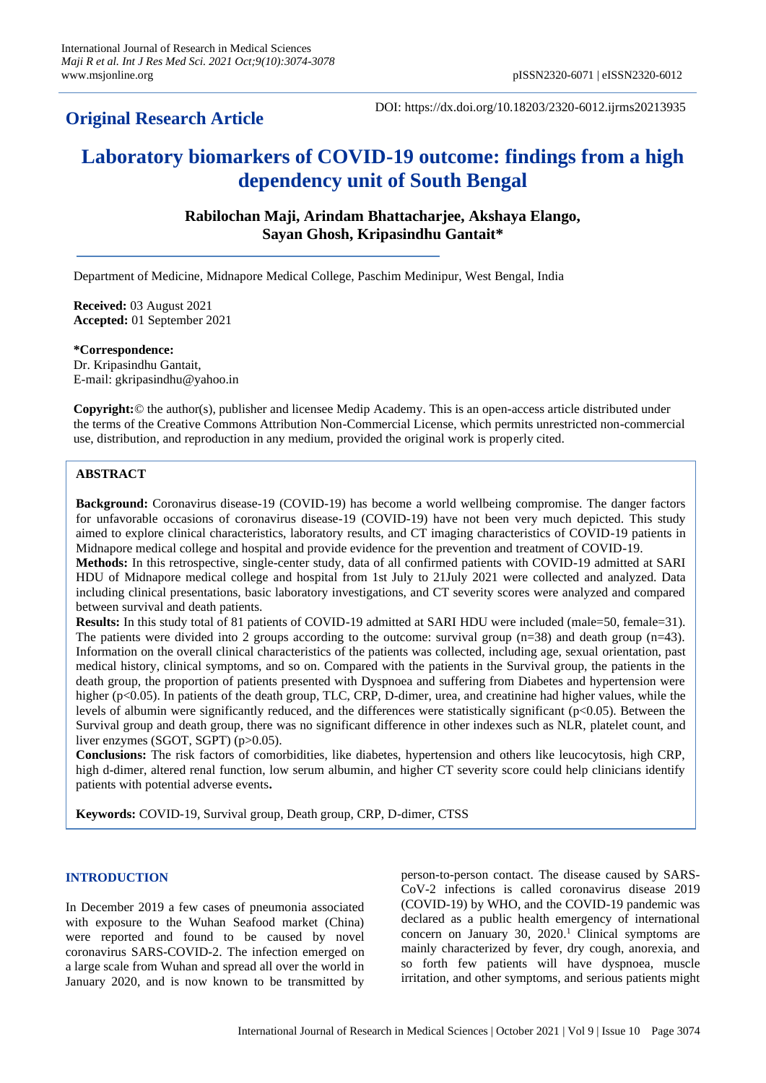# **Original Research Article**

DOI: https://dx.doi.org/10.18203/2320-6012.ijrms20213935

# **Laboratory biomarkers of COVID-19 outcome: findings from a high dependency unit of South Bengal**

**Rabilochan Maji, Arindam Bhattacharjee, Akshaya Elango, Sayan Ghosh, Kripasindhu Gantait\***

Department of Medicine, Midnapore Medical College, Paschim Medinipur, West Bengal, India

**Received:** 03 August 2021 **Accepted:** 01 September 2021

**\*Correspondence:** Dr. Kripasindhu Gantait, E-mail[: gkripasindhu@yahoo.in](mailto:gkripasindhu@yahoo.in)

**Copyright:**© the author(s), publisher and licensee Medip Academy. This is an open-access article distributed under the terms of the Creative Commons Attribution Non-Commercial License, which permits unrestricted non-commercial use, distribution, and reproduction in any medium, provided the original work is properly cited.

# **ABSTRACT**

**Background:** Coronavirus disease-19 (COVID-19) has become a world wellbeing compromise. The danger factors for unfavorable occasions of coronavirus disease-19 (COVID-19) have not been very much depicted. This study aimed to explore clinical characteristics, laboratory results, and CT imaging characteristics of COVID-19 patients in Midnapore medical college and hospital and provide evidence for the prevention and treatment of COVID-19.

**Methods:** In this retrospective, single-center study, data of all confirmed patients with COVID-19 admitted at SARI HDU of Midnapore medical college and hospital from 1st July to 21July 2021 were collected and analyzed. Data including clinical presentations, basic laboratory investigations, and CT severity scores were analyzed and compared between survival and death patients.

**Results:** In this study total of 81 patients of COVID-19 admitted at SARI HDU were included (male=50, female=31). The patients were divided into 2 groups according to the outcome: survival group  $(n=38)$  and death group  $(n=43)$ . Information on the overall clinical characteristics of the patients was collected, including age, sexual orientation, past medical history, clinical symptoms, and so on. Compared with the patients in the Survival group, the patients in the death group, the proportion of patients presented with Dyspnoea and suffering from Diabetes and hypertension were higher (p<0.05). In patients of the death group, TLC, CRP, D-dimer, urea, and creatinine had higher values, while the levels of albumin were significantly reduced, and the differences were statistically significant ( $p<0.05$ ). Between the Survival group and death group, there was no significant difference in other indexes such as NLR, platelet count, and liver enzymes (SGOT, SGPT) (p>0.05).

**Conclusions:** The risk factors of comorbidities, like diabetes, hypertension and others like leucocytosis, high CRP, high d-dimer, altered renal function, low serum albumin, and higher CT severity score could help clinicians identify patients with potential adverse events**.**

**Keywords:** COVID-19, Survival group, Death group, CRP, D-dimer, CTSS

#### **INTRODUCTION**

In December 2019 a few cases of pneumonia associated with exposure to the Wuhan Seafood market (China) were reported and found to be caused by novel coronavirus SARS-COVID-2. The infection emerged on a large scale from Wuhan and spread all over the world in January 2020, and is now known to be transmitted by person-to-person contact. The disease caused by SARS-CoV-2 infections is called coronavirus disease 2019 (COVID-19) by WHO, and the COVID-19 pandemic was declared as a public health emergency of international concern on January 30, 2020. <sup>1</sup> Clinical symptoms are mainly characterized by fever, dry cough, anorexia, and so forth few patients will have dyspnoea, muscle irritation, and other symptoms, and serious patients might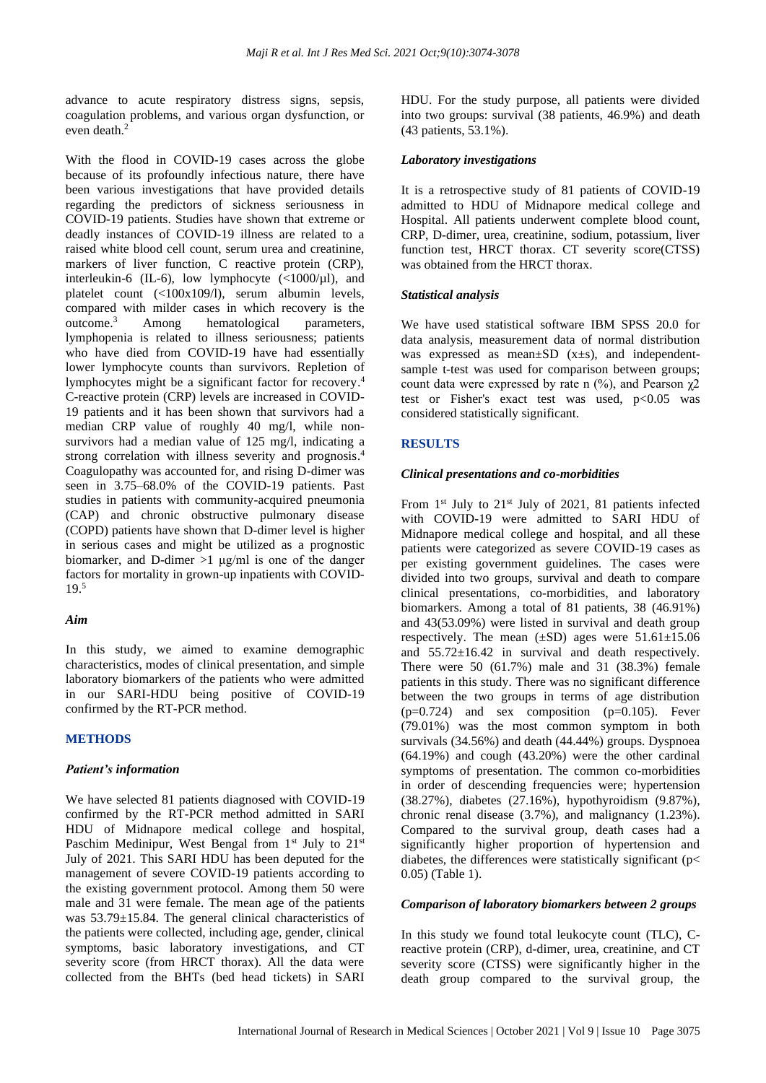advance to acute respiratory distress signs, sepsis, coagulation problems, and various organ dysfunction, or even death. 2

With the flood in COVID-19 cases across the globe because of its profoundly infectious nature, there have been various investigations that have provided details regarding the predictors of sickness seriousness in COVID-19 patients. Studies have shown that extreme or deadly instances of COVID-19 illness are related to a raised white blood cell count, serum urea and creatinine, markers of liver function. C reactive protein (CRP), interleukin-6 (IL-6), low lymphocyte  $\left(\frac{1000}{\mu}\right)$ , and platelet count (<100x109/l), serum albumin levels, compared with milder cases in which recovery is the outcome. Among hematological parameters, lymphopenia is related to illness seriousness; patients who have died from COVID-19 have had essentially lower lymphocyte counts than survivors. Repletion of lymphocytes might be a significant factor for recovery. 4 C-reactive protein (CRP) levels are increased in COVID-19 patients and it has been shown that survivors had a median CRP value of roughly 40 mg/l, while nonsurvivors had a median value of 125 mg/l, indicating a strong correlation with illness severity and prognosis. 4 Coagulopathy was accounted for, and rising D-dimer was seen in 3.75–68.0% of the COVID-19 patients. Past studies in patients with community-acquired pneumonia (CAP) and chronic obstructive pulmonary disease (COPD) patients have shown that D-dimer level is higher in serious cases and might be utilized as a prognostic biomarker, and D-dimer  $>1$  ug/ml is one of the danger factors for mortality in grown-up inpatients with COVID-19. 5

#### *Aim*

In this study, we aimed to examine demographic characteristics, modes of clinical presentation, and simple laboratory biomarkers of the patients who were admitted in our SARI-HDU being positive of COVID-19 confirmed by the RT-PCR method.

#### **METHODS**

## *Patient's information*

We have selected 81 patients diagnosed with COVID-19 confirmed by the RT-PCR method admitted in SARI HDU of Midnapore medical college and hospital, Paschim Medinipur, West Bengal from  $1<sup>st</sup>$  July to  $21<sup>st</sup>$ July of 2021. This SARI HDU has been deputed for the management of severe COVID-19 patients according to the existing government protocol. Among them 50 were male and 31 were female. The mean age of the patients was 53.79±15.84. The general clinical characteristics of the patients were collected, including age, gender, clinical symptoms, basic laboratory investigations, and CT severity score (from HRCT thorax). All the data were collected from the BHTs (bed head tickets) in SARI HDU. For the study purpose, all patients were divided into two groups: survival (38 patients, 46.9%) and death (43 patients, 53.1%).

#### *Laboratory investigations*

It is a retrospective study of 81 patients of COVID-19 admitted to HDU of Midnapore medical college and Hospital. All patients underwent complete blood count, CRP, D-dimer, urea, creatinine, sodium, potassium, liver function test, HRCT thorax. CT severity score(CTSS) was obtained from the HRCT thorax.

#### *Statistical analysis*

We have used statistical software IBM SPSS 20.0 for data analysis, measurement data of normal distribution was expressed as mean $\pm SD$  (x $\pm s$ ), and independentsample t-test was used for comparison between groups; count data were expressed by rate n  $(\%)$ , and Pearson  $\chi$ 2 test or Fisher's exact test was used, p<0.05 was considered statistically significant.

#### **RESULTS**

#### *Clinical presentations and co-morbidities*

From  $1<sup>st</sup>$  July to  $21<sup>st</sup>$  July of 2021, 81 patients infected with COVID-19 were admitted to SARI HDU of Midnapore medical college and hospital, and all these patients were categorized as severe COVID-19 cases as per existing government guidelines. The cases were divided into two groups, survival and death to compare clinical presentations, co-morbidities, and laboratory biomarkers. Among a total of 81 patients, 38 (46.91%) and 43(53.09%) were listed in survival and death group respectively. The mean  $(\pm SD)$  ages were  $51.61 \pm 15.06$ and 55.72±16.42 in survival and death respectively. There were 50 (61.7%) male and 31 (38.3%) female patients in this study. There was no significant difference between the two groups in terms of age distribution  $(p=0.724)$  and sex composition  $(p=0.105)$ . Fever (79.01%) was the most common symptom in both survivals (34.56%) and death (44.44%) groups. Dyspnoea (64.19%) and cough (43.20%) were the other cardinal symptoms of presentation. The common co-morbidities in order of descending frequencies were; hypertension (38.27%), diabetes (27.16%), hypothyroidism (9.87%), chronic renal disease (3.7%), and malignancy (1.23%). Compared to the survival group, death cases had a significantly higher proportion of hypertension and diabetes, the differences were statistically significant ( $p$ < 0.05) (Table 1).

#### *Comparison of laboratory biomarkers between 2 groups*

In this study we found total leukocyte count (TLC), Creactive protein (CRP), d-dimer, urea, creatinine, and CT severity score (CTSS) were significantly higher in the death group compared to the survival group, the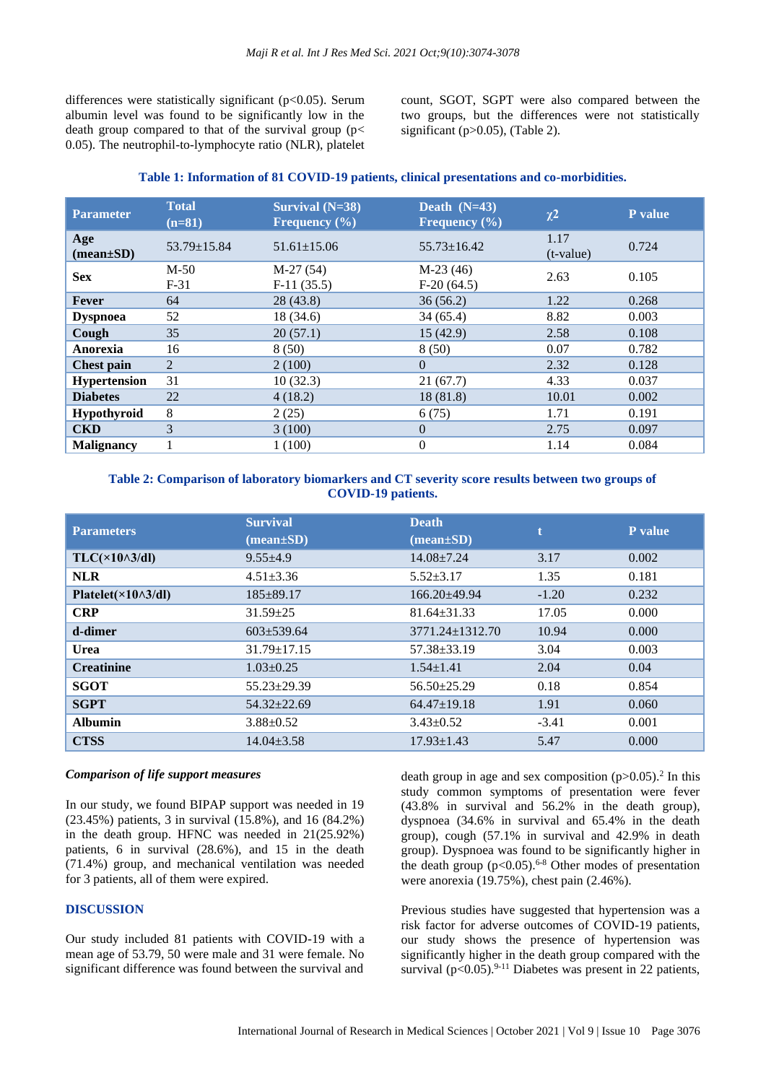differences were statistically significant ( $p<0.05$ ). Serum albumin level was found to be significantly low in the death group compared to that of the survival group ( $p$ < 0.05). The neutrophil-to-lymphocyte ratio (NLR), platelet count, SGOT, SGPT were also compared between the two groups, but the differences were not statistically significant (p>0.05), (Table 2).

| <b>Parameter</b>                    | <b>Total</b><br>$(n=81)$ | Survival $(N=38)$<br>Frequency $(\% )$ | Death $(N=43)$<br>Frequency $(\% )$ | $\chi^2$            | <b>P</b> value |
|-------------------------------------|--------------------------|----------------------------------------|-------------------------------------|---------------------|----------------|
| Age<br>$(\text{mean}\pm S\text{D})$ | $53.79 \pm 15.84$        | $51.61 \pm 15.06$                      | $55.73 \pm 16.42$                   | 1.17<br>$(t-value)$ | 0.724          |
| <b>Sex</b>                          | $M-50$<br>$F-31$         | $M-27(54)$<br>$F-11(35.5)$             | $M-23(46)$<br>$F-20(64.5)$          | 2.63                | 0.105          |
| <b>Fever</b>                        | 64                       | 28 (43.8)                              | 36(56.2)                            | 1.22                | 0.268          |
| <b>Dyspnoea</b>                     | 52                       | 18(34.6)                               | 34(65.4)                            | 8.82                | 0.003          |
| Cough                               | 35                       | 20(57.1)                               | 15(42.9)                            | 2.58                | 0.108          |
| Anorexia                            | 16                       | 8(50)                                  | 8(50)                               | 0.07                | 0.782          |
| <b>Chest pain</b>                   | 2                        | 2(100)                                 | $\Omega$                            | 2.32                | 0.128          |
| <b>Hypertension</b>                 | 31                       | 10(32.3)                               | 21(67.7)                            | 4.33                | 0.037          |
| <b>Diabetes</b>                     | 22                       | 4(18.2)                                | 18(81.8)                            | 10.01               | 0.002          |
| Hypothyroid                         | 8                        | 2(25)                                  | 6(75)                               | 1.71                | 0.191          |
| <b>CKD</b>                          | 3                        | 3(100)                                 | $\Omega$                            | 2.75                | 0.097          |
| <b>Malignancy</b>                   |                          | 1(100)                                 | $\overline{0}$                      | 1.14                | 0.084          |
|                                     |                          |                                        |                                     |                     |                |

# **Table 1: Information of 81 COVID-19 patients, clinical presentations and co-morbidities.**

#### **Table 2: Comparison of laboratory biomarkers and CT severity score results between two groups of COVID-19 patients.**

| <b>Parameters</b>                   | <b>Survival</b><br>$(\text{mean}\pm\text{SD})$ | <b>Death</b><br>$(\text{mean}\pm\text{SD})$ |         | P value |
|-------------------------------------|------------------------------------------------|---------------------------------------------|---------|---------|
| $TLC(\times 10 \wedge 3/dl)$        | $9.55 \pm 4.9$                                 | $14.08 \pm 7.24$                            | 3.17    | 0.002   |
| <b>NLR</b>                          | $4.51 \pm 3.36$                                | $5.52 \pm 3.17$                             | 1.35    | 0.181   |
| Platelet( $\times$ 10 $\land$ 3/dl) | $185 \pm 89.17$                                | $166.20 + 49.94$                            | $-1.20$ | 0.232   |
| <b>CRP</b>                          | $31.59 \pm 25$                                 | $81.64 + 31.33$                             | 17.05   | 0.000   |
| d-dimer                             | $603 \pm 539.64$                               | 3771.24±1312.70                             | 10.94   | 0.000   |
| <b>Urea</b>                         | $31.79 \pm 17.15$                              | $57.38 \pm 33.19$                           | 3.04    | 0.003   |
| <b>Creatinine</b>                   | $1.03 \pm 0.25$                                | $1.54 \pm 1.41$                             | 2.04    | 0.04    |
| <b>SGOT</b>                         | $55.23 \pm 29.39$                              | $56.50 \pm 25.29$                           | 0.18    | 0.854   |
| <b>SGPT</b>                         | $54.32 \pm 22.69$                              | $64.47 \pm 19.18$                           | 1.91    | 0.060   |
| <b>Albumin</b>                      | $3.88 \pm 0.52$                                | $3.43 \pm 0.52$                             | $-3.41$ | 0.001   |
| <b>CTSS</b>                         | $14.04 \pm 3.58$                               | $17.93 \pm 1.43$                            | 5.47    | 0.000   |

#### *Comparison of life support measures*

In our study, we found BIPAP support was needed in 19 (23.45%) patients, 3 in survival (15.8%), and 16 (84.2%) in the death group. HFNC was needed in 21(25.92%) patients, 6 in survival (28.6%), and 15 in the death (71.4%) group, and mechanical ventilation was needed for 3 patients, all of them were expired.

# **DISCUSSION**

Our study included 81 patients with COVID-19 with a mean age of 53.79, 50 were male and 31 were female. No significant difference was found between the survival and

death group in age and sex composition  $(p>0.05)$ .<sup>2</sup> In this study common symptoms of presentation were fever (43.8% in survival and 56.2% in the death group), dyspnoea (34.6% in survival and 65.4% in the death group), cough (57.1% in survival and 42.9% in death group). Dyspnoea was found to be significantly higher in the death group  $(p<0.05)$ .<sup>6-8</sup> Other modes of presentation were anorexia (19.75%), chest pain (2.46%).

Previous studies have suggested that hypertension was a risk factor for adverse outcomes of COVID-19 patients, our study shows the presence of hypertension was significantly higher in the death group compared with the survival  $(p<0.05)$ .<sup>9-11</sup> Diabetes was present in 22 patients,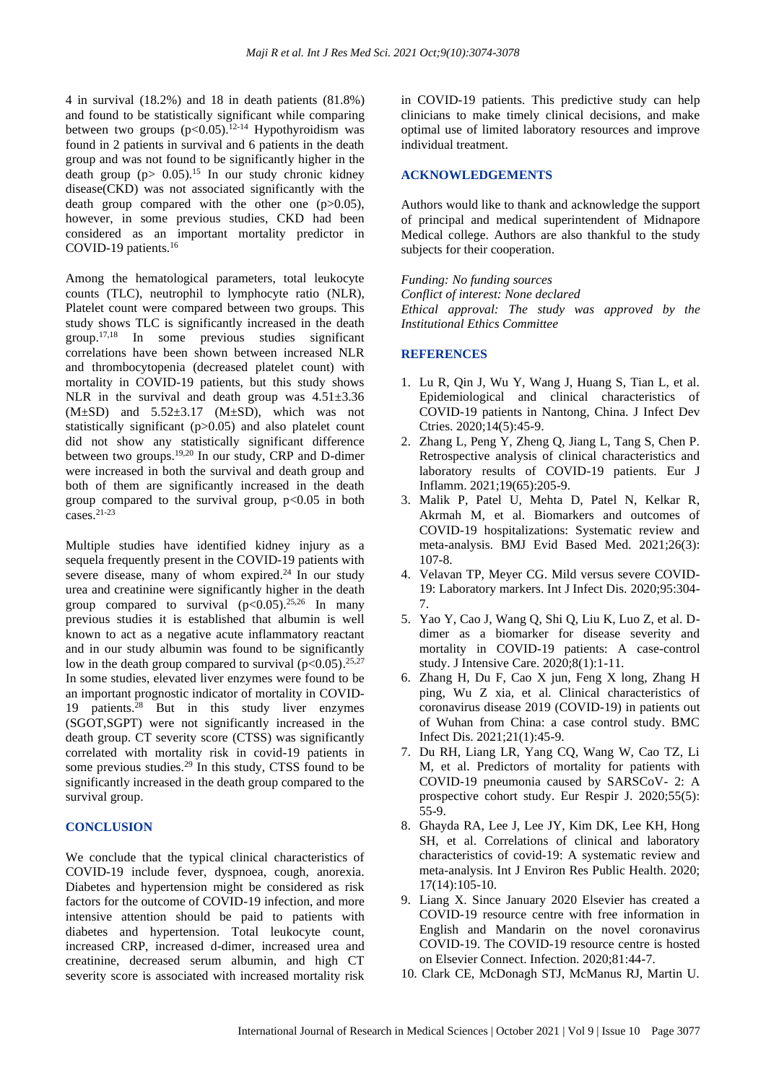4 in survival (18.2%) and 18 in death patients (81.8%) and found to be statistically significant while comparing between two groups  $(p<0.05)$ .<sup>12-14</sup> Hypothyroidism was found in 2 patients in survival and 6 patients in the death group and was not found to be significantly higher in the death group ( $p$  > 0.05).<sup>15</sup> In our study chronic kidney disease(CKD) was not associated significantly with the death group compared with the other one (p>0.05), however, in some previous studies, CKD had been considered as an important mortality predictor in COVID-19 patients. 16

Among the hematological parameters, total leukocyte counts (TLC), neutrophil to lymphocyte ratio (NLR), Platelet count were compared between two groups. This study shows TLC is significantly increased in the death group. 17,18 In some previous studies significant correlations have been shown between increased NLR and thrombocytopenia (decreased platelet count) with mortality in COVID-19 patients, but this study shows NLR in the survival and death group was  $4.51 \pm 3.36$  $(M±SD)$  and  $5.52±3.17$   $(M±SD)$ , which was not statistically significant (p>0.05) and also platelet count did not show any statistically significant difference between two groups.<sup>19,20</sup> In our study, CRP and D-dimer were increased in both the survival and death group and both of them are significantly increased in the death group compared to the survival group,  $p<0.05$  in both cases. 21-23

Multiple studies have identified kidney injury as a sequela frequently present in the COVID-19 patients with severe disease, many of whom expired. $^{24}$  In our study urea and creatinine were significantly higher in the death group compared to survival  $(p<0.05)$ .<sup>25,26</sup> In many previous studies it is established that albumin is well known to act as a negative acute inflammatory reactant and in our study albumin was found to be significantly low in the death group compared to survival  $(p<0.05)$ .<sup>25,27</sup> In some studies, elevated liver enzymes were found to be an important prognostic indicator of mortality in COVID-19 patients.<sup>28</sup> But in this study liver enzymes (SGOT,SGPT) were not significantly increased in the death group. CT severity score (CTSS) was significantly correlated with mortality risk in covid-19 patients in some previous studies.<sup>29</sup> In this study, CTSS found to be significantly increased in the death group compared to the survival group.

#### **CONCLUSION**

We conclude that the typical clinical characteristics of COVID-19 include fever, dyspnoea, cough, anorexia. Diabetes and hypertension might be considered as risk factors for the outcome of COVID-19 infection, and more intensive attention should be paid to patients with diabetes and hypertension. Total leukocyte count, increased CRP, increased d-dimer, increased urea and creatinine, decreased serum albumin, and high CT severity score is associated with increased mortality risk

in COVID-19 patients. This predictive study can help clinicians to make timely clinical decisions, and make optimal use of limited laboratory resources and improve individual treatment.

### **ACKNOWLEDGEMENTS**

Authors would like to thank and acknowledge the support of principal and medical superintendent of Midnapore Medical college. Authors are also thankful to the study subjects for their cooperation.

*Funding: No funding sources Conflict of interest: None declared Ethical approval: The study was approved by the Institutional Ethics Committee*

#### **REFERENCES**

- 1. Lu R, Qin J, Wu Y, Wang J, Huang S, Tian L, et al. Epidemiological and clinical characteristics of COVID-19 patients in Nantong, China. J Infect Dev Ctries. 2020;14(5):45-9.
- 2. Zhang L, Peng Y, Zheng Q, Jiang L, Tang S, Chen P. Retrospective analysis of clinical characteristics and laboratory results of COVID-19 patients. Eur J Inflamm. 2021;19(65):205-9.
- 3. Malik P, Patel U, Mehta D, Patel N, Kelkar R, Akrmah M, et al. Biomarkers and outcomes of COVID-19 hospitalizations: Systematic review and meta-analysis. BMJ Evid Based Med. 2021;26(3): 107-8.
- 4. Velavan TP, Meyer CG. Mild versus severe COVID-19: Laboratory markers. Int J Infect Dis. 2020;95:304- 7.
- 5. Yao Y, Cao J, Wang Q, Shi Q, Liu K, Luo Z, et al. Ddimer as a biomarker for disease severity and mortality in COVID-19 patients: A case-control study. J Intensive Care. 2020;8(1):1-11.
- 6. Zhang H, Du F, Cao X jun, Feng X long, Zhang H ping, Wu Z xia, et al. Clinical characteristics of coronavirus disease 2019 (COVID-19) in patients out of Wuhan from China: a case control study. BMC Infect Dis. 2021;21(1):45-9.
- 7. Du RH, Liang LR, Yang CQ, Wang W, Cao TZ, Li M, et al. Predictors of mortality for patients with COVID-19 pneumonia caused by SARSCoV- 2: A prospective cohort study. Eur Respir J. 2020;55(5): 55-9.
- 8. Ghayda RA, Lee J, Lee JY, Kim DK, Lee KH, Hong SH, et al. Correlations of clinical and laboratory characteristics of covid-19: A systematic review and meta-analysis. Int J Environ Res Public Health. 2020; 17(14):105-10.
- 9. Liang X. Since January 2020 Elsevier has created a COVID-19 resource centre with free information in English and Mandarin on the novel coronavirus COVID-19. The COVID-19 resource centre is hosted on Elsevier Connect. Infection. 2020;81:44-7.
- 10. Clark CE, McDonagh STJ, McManus RJ, Martin U.